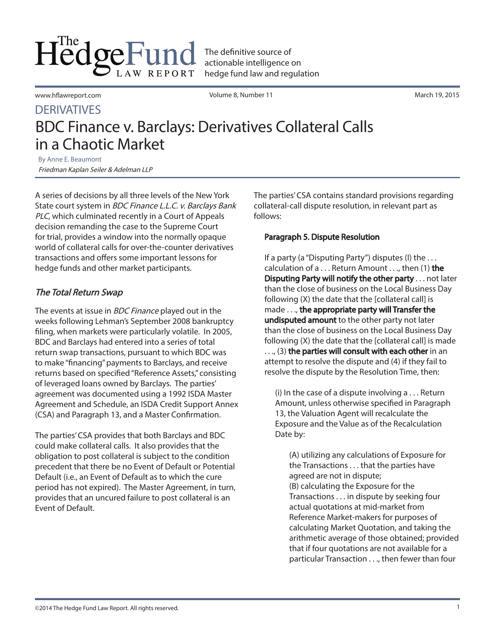The definitive source of actionable intelligence on hedge fund law and regulation

www.hflawreport.com

Volume 8, Number 11 March 19, 2015

### DERIVATIVES BDC Finance v. Barclays: Derivatives Collateral Calls in a Chaotic Market

By Anne E. Beaumont Friedman Kaplan Seiler & Adelman LLP

A series of decisions by all three levels of the New York State court system in BDC Finance L.L.C. v. Barclays Bank PLC, which culminated recently in a Court of Appeals decision remanding the case to the Supreme Court for trial, provides a window into the normally opaque world of collateral calls for over-the-counter derivatives transactions and offers some important lessons for hedge funds and other market participants.

#### The Total Return Swap

The events at issue in *BDC Finance* played out in the weeks following Lehman's September 2008 bankruptcy filing, when markets were particularly volatile. In 2005, BDC and Barclays had entered into a series of total return swap transactions, pursuant to which BDC was to make "financing" payments to Barclays, and receive returns based on specified "Reference Assets," consisting of leveraged loans owned by Barclays. The parties' agreement was documented using a 1992 ISDA Master Agreement and Schedule, an ISDA Credit Support Annex (CSA) and Paragraph 13, and a Master Confirmation.

The parties' CSA provides that both Barclays and BDC could make collateral calls. It also provides that the obligation to post collateral is subject to the condition precedent that there be no Event of Default or Potential Default (i.e., an Event of Default as to which the cure period has not expired). The Master Agreement, in turn, provides that an uncured failure to post collateral is an Event of Default.

The parties' CSA contains standard provisions regarding collateral-call dispute resolution, in relevant part as follows:

#### Paragraph 5. Dispute Resolution

If a party (a "Disputing Party") disputes (I) the ... calculation of  $a \dots$  Return Amount  $\dots$ , then (1) the Disputing Party will notify the other party . . . not later than the close of business on the Local Business Day following (X) the date that the [collateral call] is made . . ., the appropriate party will Transfer the undisputed amount to the other party not later than the close of business on the Local Business Day following (X) the date that the [collateral call] is made ..., (3) the parties will consult with each other in an attempt to resolve the dispute and (4) if they fail to resolve the dispute by the Resolution Time, then:

(i) In the case of a dispute involving  $a \dots$  Return Amount, unless otherwise specified in Paragraph 13, the Valuation Agent will recalculate the Exposure and the Value as of the Recalculation Date by:

(A) utilizing any calculations of Exposure for the Transactions . . . that the parties have agreed are not in dispute; (B) calculating the Exposure for the Transactions . . . in dispute by seeking four actual quotations at mid-market from Reference Market-makers for purposes of calculating Market Quotation, and taking the arithmetic average of those obtained; provided that if four quotations are not available for a particular Transaction . . ., then fewer than four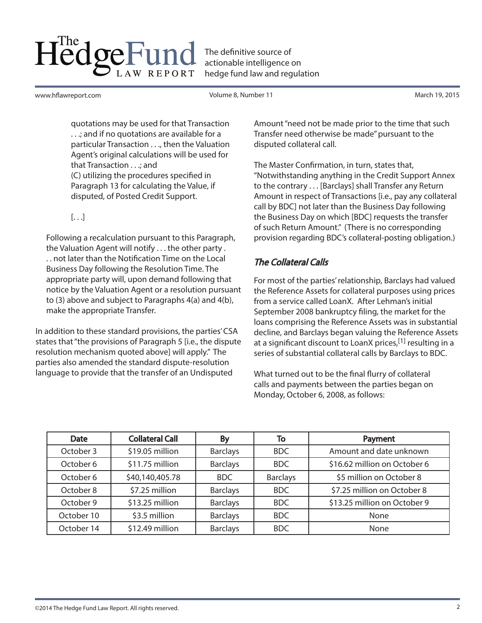The definitive source of actionable intelligence on hedge fund law and regulation

www.hflawreport.com

Volume 8, Number 11 March 19, 2015

quotations may be used for that Transaction . . .; and if no quotations are available for a particular Transaction . . ., then the Valuation Agent's original calculations will be used for that Transaction . . .; and (C) utilizing the procedures specified in

Paragraph 13 for calculating the Value, if disputed, of Posted Credit Support.

 $[ \ldots ]$ 

Following a recalculation pursuant to this Paragraph, the Valuation Agent will notify . . . the other party . . . not later than the Notification Time on the Local Business Day following the Resolution Time. The appropriate party will, upon demand following that notice by the Valuation Agent or a resolution pursuant to (3) above and subject to Paragraphs 4(a) and 4(b), make the appropriate Transfer.

In addition to these standard provisions, the parties' CSA states that "the provisions of Paragraph 5 [i.e., the dispute resolution mechanism quoted above] will apply." The parties also amended the standard dispute-resolution language to provide that the transfer of an Undisputed

Amount "need not be made prior to the time that such Transfer need otherwise be made" pursuant to the disputed collateral call.

The Master Confirmation, in turn, states that, "Notwithstanding anything in the Credit Support Annex to the contrary . . . [Barclays] shall Transfer any Return Amount in respect of Transactions [i.e., pay any collateral call by BDC] not later than the Business Day following the Business Day on which [BDC] requests the transfer of such Return Amount." (There is no corresponding provision regarding BDC's collateral-posting obligation.)

### The Collateral Calls

For most of the parties' relationship, Barclays had valued the Reference Assets for collateral purposes using prices from a service called LoanX. After Lehman's initial September 2008 bankruptcy filing, the market for the loans comprising the Reference Assets was in substantial decline, and Barclays began valuing the Reference Assets at a significant discount to LoanX prices,  $[1]$  resulting in a series of substantial collateral calls by Barclays to BDC.

What turned out to be the final flurry of collateral calls and payments between the parties began on Monday, October 6, 2008, as follows:

| <b>Date</b> | <b>Collateral Call</b> | <b>By</b>       | To              | Payment                      |
|-------------|------------------------|-----------------|-----------------|------------------------------|
| October 3   | \$19.05 million        | <b>Barclays</b> | <b>BDC</b>      | Amount and date unknown      |
| October 6   | \$11.75 million        | <b>Barclays</b> | <b>BDC</b>      | \$16.62 million on October 6 |
| October 6   | \$40,140,405.78        | BDC             | <b>Barclays</b> | \$5 million on October 8     |
| October 8   | \$7.25 million         | <b>Barclays</b> | <b>BDC</b>      | \$7.25 million on October 8  |
| October 9   | \$13.25 million        | <b>Barclays</b> | <b>BDC</b>      | \$13.25 million on October 9 |
| October 10  | \$3.5 million          | <b>Barclays</b> | <b>BDC</b>      | None                         |
| October 14  | \$12.49 million        | <b>Barclays</b> | <b>BDC</b>      | None                         |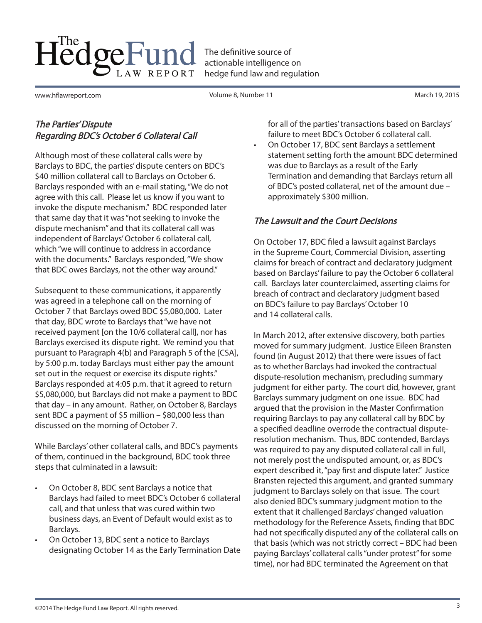The definitive source of actionable intelligence on hedge fund law and regulation

www.hflawreport.com

Volume 8, Number 11 March 19, 2015

#### The Parties' Dispute Regarding BDC's October 6 Collateral Call

Although most of these collateral calls were by Barclays to BDC, the parties' dispute centers on BDC's \$40 million collateral call to Barclays on October 6. Barclays responded with an e-mail stating, "We do not agree with this call. Please let us know if you want to invoke the dispute mechanism." BDC responded later that same day that it was "not seeking to invoke the dispute mechanism" and that its collateral call was independent of Barclays' October 6 collateral call, which "we will continue to address in accordance with the documents." Barclays responded, "We show that BDC owes Barclays, not the other way around."

Subsequent to these communications, it apparently was agreed in a telephone call on the morning of October 7 that Barclays owed BDC \$5,080,000. Later that day, BDC wrote to Barclays that "we have not received payment [on the 10/6 collateral call], nor has Barclays exercised its dispute right. We remind you that pursuant to Paragraph 4(b) and Paragraph 5 of the [CSA], by 5:00 p.m. today Barclays must either pay the amount set out in the request or exercise its dispute rights." Barclays responded at 4:05 p.m. that it agreed to return \$5,080,000, but Barclays did not make a payment to BDC that day – in any amount. Rather, on October 8, Barclays sent BDC a payment of \$5 million – \$80,000 less than discussed on the morning of October 7.

While Barclays' other collateral calls, and BDC's payments of them, continued in the background, BDC took three steps that culminated in a lawsuit:

- On October 8, BDC sent Barclays a notice that Barclays had failed to meet BDC's October 6 collateral call, and that unless that was cured within two business days, an Event of Default would exist as to Barclays.
- On October 13, BDC sent a notice to Barclays designating October 14 as the Early Termination Date

for all of the parties' transactions based on Barclays' failure to meet BDC's October 6 collateral call.

• On October 17, BDC sent Barclays a settlement statement setting forth the amount BDC determined was due to Barclays as a result of the Early Termination and demanding that Barclays return all of BDC's posted collateral, net of the amount due – approximately \$300 million.

#### The Lawsuit and the Court Decisions

On October 17, BDC filed a lawsuit against Barclays in the Supreme Court, Commercial Division, asserting claims for breach of contract and declaratory judgment based on Barclays' failure to pay the October 6 collateral call. Barclays later counterclaimed, asserting claims for breach of contract and declaratory judgment based on BDC's failure to pay Barclays' October 10 and 14 collateral calls.

In March 2012, after extensive discovery, both parties moved for summary judgment. Justice Eileen Bransten found (in August 2012) that there were issues of fact as to whether Barclays had invoked the contractual dispute-resolution mechanism, precluding summary judgment for either party. The court did, however, grant Barclays summary judgment on one issue. BDC had argued that the provision in the Master Confirmation requiring Barclays to pay any collateral call by BDC by a specified deadline overrode the contractual disputeresolution mechanism. Thus, BDC contended, Barclays was required to pay any disputed collateral call in full, not merely post the undisputed amount, or, as BDC's expert described it, "pay first and dispute later." Justice Bransten rejected this argument, and granted summary judgment to Barclays solely on that issue. The court also denied BDC's summary judgment motion to the extent that it challenged Barclays' changed valuation methodology for the Reference Assets, finding that BDC had not specifically disputed any of the collateral calls on that basis (which was not strictly correct – BDC had been paying Barclays' collateral calls "under protest" for some time), nor had BDC terminated the Agreement on that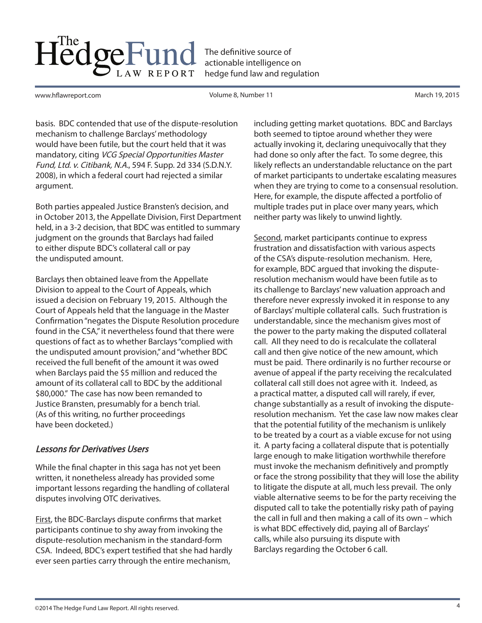The definitive source of actionable intelligence on hedge fund law and regulation

www.hflawreport.com

Volume 8, Number 11 March 19, 2015

basis. BDC contended that use of the dispute-resolution mechanism to challenge Barclays' methodology would have been futile, but the court held that it was mandatory, citing VCG Special Opportunities Master Fund, Ltd. v. Citibank, N.A., 594 F. Supp. 2d 334 (S.D.N.Y. 2008), in which a federal court had rejected a similar argument.

Both parties appealed Justice Bransten's decision, and in October 2013, the Appellate Division, First Department held, in a 3-2 decision, that BDC was entitled to summary judgment on the grounds that Barclays had failed to either dispute BDC's collateral call or pay the undisputed amount.

Barclays then obtained leave from the Appellate Division to appeal to the Court of Appeals, which issued a decision on February 19, 2015. Although the Court of Appeals held that the language in the Master Confirmation "negates the Dispute Resolution procedure found in the CSA," it nevertheless found that there were questions of fact as to whether Barclays "complied with the undisputed amount provision," and "whether BDC received the full benefit of the amount it was owed when Barclays paid the \$5 million and reduced the amount of its collateral call to BDC by the additional \$80,000." The case has now been remanded to Justice Bransten, presumably for a bench trial. (As of this writing, no further proceedings have been docketed.)

#### Lessons for Derivatives Users

While the final chapter in this saga has not yet been written, it nonetheless already has provided some important lessons regarding the handling of collateral disputes involving OTC derivatives.

First, the BDC-Barclays dispute confirms that market participants continue to shy away from invoking the dispute-resolution mechanism in the standard-form CSA. Indeed, BDC's expert testified that she had hardly ever seen parties carry through the entire mechanism,

including getting market quotations. BDC and Barclays both seemed to tiptoe around whether they were actually invoking it, declaring unequivocally that they had done so only after the fact. To some degree, this likely reflects an understandable reluctance on the part of market participants to undertake escalating measures when they are trying to come to a consensual resolution. Here, for example, the dispute affected a portfolio of multiple trades put in place over many years, which neither party was likely to unwind lightly.

Second, market participants continue to express frustration and dissatisfaction with various aspects of the CSA's dispute-resolution mechanism. Here, for example, BDC argued that invoking the disputeresolution mechanism would have been futile as to its challenge to Barclays' new valuation approach and therefore never expressly invoked it in response to any of Barclays' multiple collateral calls. Such frustration is understandable, since the mechanism gives most of the power to the party making the disputed collateral call. All they need to do is recalculate the collateral call and then give notice of the new amount, which must be paid. There ordinarily is no further recourse or avenue of appeal if the party receiving the recalculated collateral call still does not agree with it. Indeed, as a practical matter, a disputed call will rarely, if ever, change substantially as a result of invoking the disputeresolution mechanism. Yet the case law now makes clear that the potential futility of the mechanism is unlikely to be treated by a court as a viable excuse for not using it. A party facing a collateral dispute that is potentially large enough to make litigation worthwhile therefore must invoke the mechanism definitively and promptly or face the strong possibility that they will lose the ability to litigate the dispute at all, much less prevail. The only viable alternative seems to be for the party receiving the disputed call to take the potentially risky path of paying the call in full and then making a call of its own – which is what BDC effectively did, paying all of Barclays' calls, while also pursuing its dispute with Barclays regarding the October 6 call.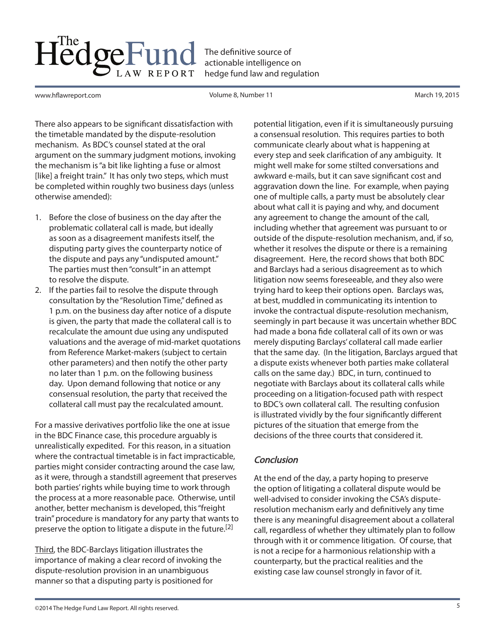The definitive source of actionable intelligence on hedge fund law and regulation

www.hflawreport.com

Volume 8, Number 11 March 19, 2015

There also appears to be significant dissatisfaction with the timetable mandated by the dispute-resolution mechanism. As BDC's counsel stated at the oral argument on the summary judgment motions, invoking the mechanism is "a bit like lighting a fuse or almost [like] a freight train." It has only two steps, which must be completed within roughly two business days (unless otherwise amended):

- 1. Before the close of business on the day after the problematic collateral call is made, but ideally as soon as a disagreement manifests itself, the disputing party gives the counterparty notice of the dispute and pays any "undisputed amount." The parties must then "consult" in an attempt to resolve the dispute.
- 2. If the parties fail to resolve the dispute through consultation by the "Resolution Time," defined as 1 p.m. on the business day after notice of a dispute is given, the party that made the collateral call is to recalculate the amount due using any undisputed valuations and the average of mid-market quotations from Reference Market-makers (subject to certain other parameters) and then notify the other party no later than 1 p.m. on the following business day. Upon demand following that notice or any consensual resolution, the party that received the collateral call must pay the recalculated amount.

For a massive derivatives portfolio like the one at issue in the BDC Finance case, this procedure arguably is unrealistically expedited. For this reason, in a situation where the contractual timetable is in fact impracticable, parties might consider contracting around the case law, as it were, through a standstill agreement that preserves both parties' rights while buying time to work through the process at a more reasonable pace. Otherwise, until another, better mechanism is developed, this "freight train" procedure is mandatory for any party that wants to preserve the option to litigate a dispute in the future.<sup>[2]</sup>

Third, the BDC-Barclays litigation illustrates the importance of making a clear record of invoking the dispute-resolution provision in an unambiguous manner so that a disputing party is positioned for

potential litigation, even if it is simultaneously pursuing a consensual resolution. This requires parties to both communicate clearly about what is happening at every step and seek clarification of any ambiguity. It might well make for some stilted conversations and awkward e-mails, but it can save significant cost and aggravation down the line. For example, when paying one of multiple calls, a party must be absolutely clear about what call it is paying and why, and document any agreement to change the amount of the call, including whether that agreement was pursuant to or outside of the dispute-resolution mechanism, and, if so, whether it resolves the dispute or there is a remaining disagreement. Here, the record shows that both BDC and Barclays had a serious disagreement as to which litigation now seems foreseeable, and they also were trying hard to keep their options open. Barclays was, at best, muddled in communicating its intention to invoke the contractual dispute-resolution mechanism, seemingly in part because it was uncertain whether BDC had made a bona fide collateral call of its own or was merely disputing Barclays' collateral call made earlier that the same day. (In the litigation, Barclays argued that a dispute exists whenever both parties make collateral calls on the same day.) BDC, in turn, continued to negotiate with Barclays about its collateral calls while proceeding on a litigation-focused path with respect to BDC's own collateral call. The resulting confusion is illustrated vividly by the four significantly different pictures of the situation that emerge from the decisions of the three courts that considered it.

#### **Conclusion**

At the end of the day, a party hoping to preserve the option of litigating a collateral dispute would be well-advised to consider invoking the CSA's disputeresolution mechanism early and definitively any time there is any meaningful disagreement about a collateral call, regardless of whether they ultimately plan to follow through with it or commence litigation. Of course, that is not a recipe for a harmonious relationship with a counterparty, but the practical realities and the existing case law counsel strongly in favor of it.